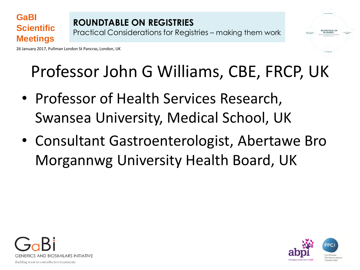26 January 2017, Pullman London St Pancras, London, UK

**GaBI**

**Scientific** 

**Meetings** 



### Professor John G Williams, CBE, FRCP, UK

- Professor of Health Services Research, Swansea University, Medical School, UK
- Consultant Gastroenterologist, Abertawe Bro Morgannwg University Health Board, UK



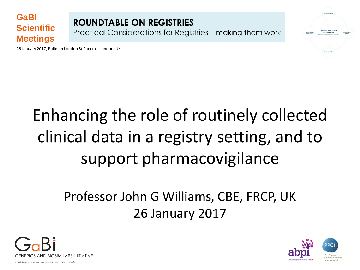#### **GaBI Scientific Meetings**

**ROUNDTABLE ON REGISTRIES**  Practical Considerations for Registries – making them work



### Enhancing the role of routinely collected clinical data in a registry setting, and to support pharmacovigilance

### Professor John G Williams, CBE, FRCP, UK 26 January 2017



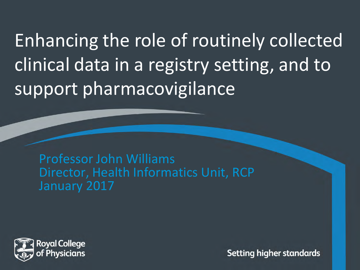Enhancing the role of routinely collected clinical data in a registry setting, and to support pharmacovigilance

Professor John Williams Director, Health Informatics Unit, RCP January 2017

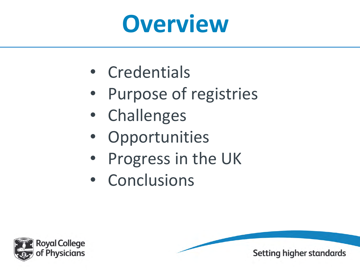

- Credentials
- Purpose of registries
- Challenges
- **Opportunities**
- Progress in the UK
- Conclusions

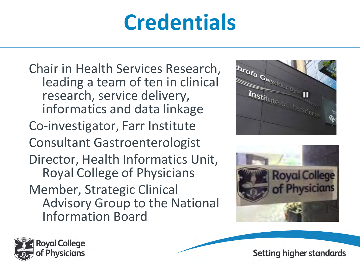### **Credentials**

Chair in Health Services Research, leading a team of ten in clinical research, service delivery, informatics and data linkage Co-investigator, Farr Institute Consultant Gastroenterologist Director, Health Informatics Unit, Royal College of Physicians Member, Strategic Clinical Advisory Group to the National Information Board





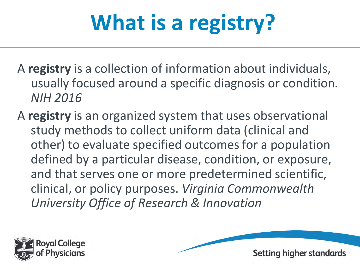### **What is a registry?**

- A **registry** is a collection of information about individuals, usually focused around a specific diagnosis or condition*. NIH 2016*
- A **registry** is an organized system that uses observational study methods to collect uniform data (clinical and other) to evaluate specified outcomes for a population defined by a particular disease, condition, or exposure, and that serves one or more predetermined scientific, clinical, or policy purposes. *Virginia Commonwealth University Office of Research & Innovation*



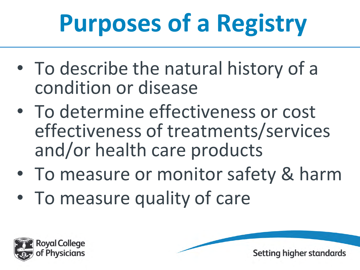## **Purposes of a Registry**

- To describe the natural history of a condition or disease
- To determine effectiveness or cost effectiveness of treatments/services and/or health care products
- To measure or monitor safety & harm
- To measure quality of care



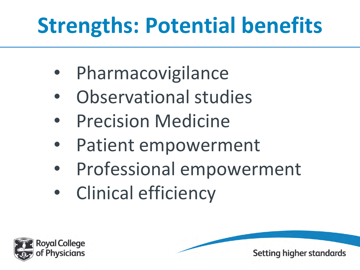### **Strengths: Potential benefits**

- **Pharmacovigilance**
- Observational studies
- Precision Medicine
- Patient empowerment
- Professional empowerment
- Clinical efficiency

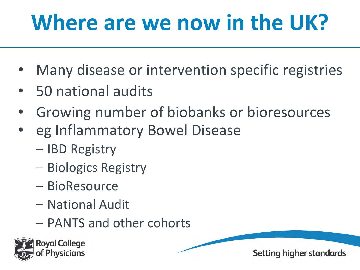### **Where are we now in the UK?**

- Many disease or intervention specific registries
- 50 national audits
- Growing number of biobanks or bioresources
- eg Inflammatory Bowel Disease
	- IBD Registry
	- Biologics Registry
	- BioResource
	- National Audit
	- PANTS and other cohorts

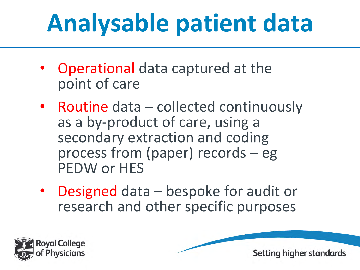## **Analysable patient data**

- Operational data captured at the point of care
- Routine data collected continuously as a by-product of care, using a secondary extraction and coding process from (paper) records – eg PEDW or HES
- Designed data bespoke for audit or research and other specific purposes

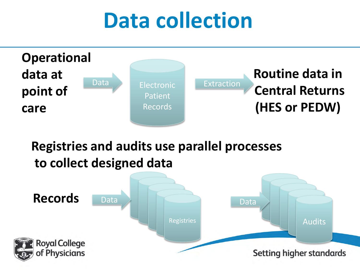### **Data collection**



### **Registries and audits use parallel processes to collect designed data**

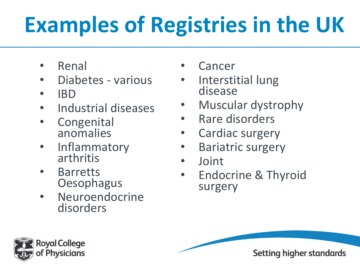## **Examples of Registries in the UK**

- Renal
- Diabetes various
- IBD
- Industrial diseases
- Congenital anomalies
- Inflammatory arthritis
- Barretts **Oesophagus**
- Neuroendocrine disorders
- **Cancer**
- Interstitial lung disease
- Muscular dystrophy
- Rare disorders
- Cardiac surgery
- Bariatric surgery
- Joint
- Endocrine & Thyroid surgery

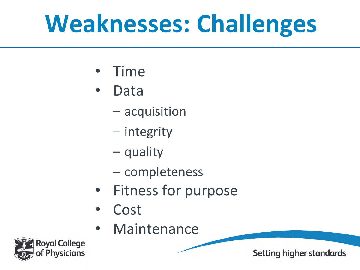## **Weaknesses: Challenges**

- Time
- Data
	- acquisition
	- integrity
	- quality
	- completeness
- Fitness for purpose
- Cost
- **Maintenance**

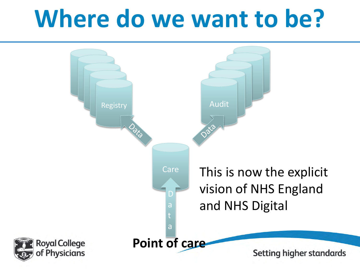## **Where do we want to be?**

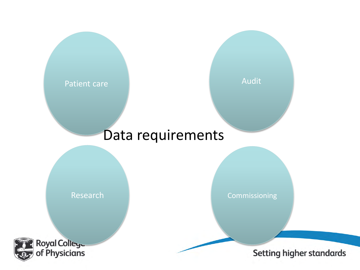

Audit

#### Data requirements

Research



Commissioning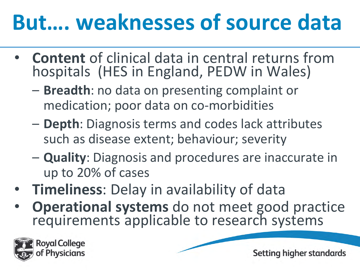### **But…. weaknesses of source data**

- **Content** of clinical data in central returns from hospitals (HES in England, PEDW in Wales)
	- **Breadth**: no data on presenting complaint or medication; poor data on co-morbidities
	- **Depth**: Diagnosis terms and codes lack attributes such as disease extent; behaviour; severity
	- **Quality**: Diagnosis and procedures are inaccurate in up to 20% of cases
- **Timeliness**: Delay in availability of data
- **Operational systems** do not meet good practice requirements applicable to research systems

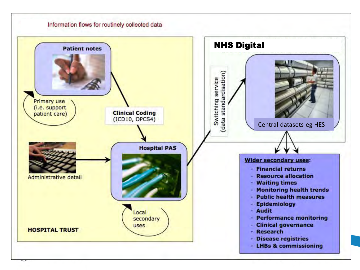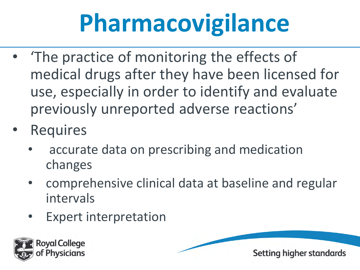## **Pharmacovigilance**

- 'The practice of monitoring the effects of medical drugs after they have been licensed for use, especially in order to identify and evaluate previously unreported adverse reactions'
- **Requires** 
	- accurate data on prescribing and medication changes
	- comprehensive clinical data at baseline and regular intervals
	- **Expert interpretation**

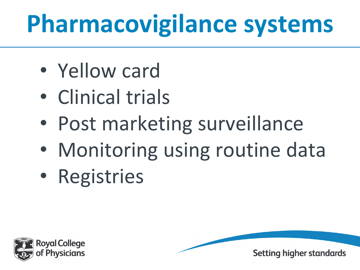## **Pharmacovigilance systems**

- Yellow card
- Clinical trials
- Post marketing surveillance
- Monitoring using routine data
- Registries



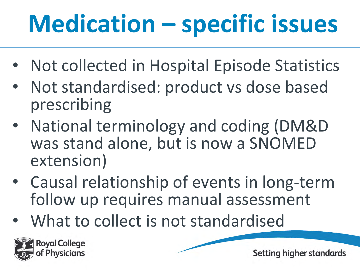## **Medication – specific issues**

- Not collected in Hospital Episode Statistics
- Not standardised: product vs dose based prescribing
- National terminology and coding (DM&D was stand alone, but is now a SNOMED extension)
- Causal relationship of events in long-term follow up requires manual assessment
- What to collect is not standardised

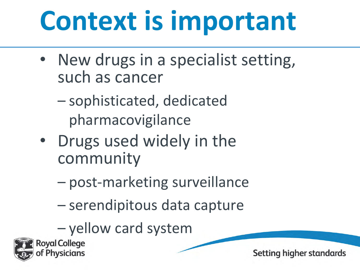# **Context is important**

- New drugs in a specialist setting, such as cancer
	- sophisticated, dedicated pharmacovigilance
- Drugs used widely in the community
	- post-marketing surveillance
	- serendipitous data capture
	- yellow card system

**Royal College**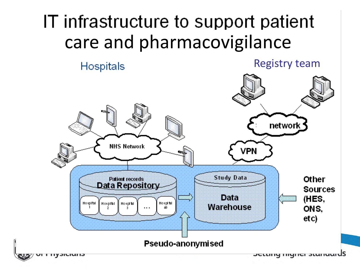### IT infrastructure to support patient care and pharmacovigilance

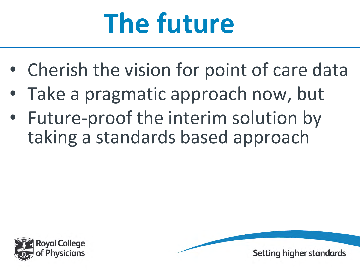# **The future**

- Cherish the vision for point of care data
- Take a pragmatic approach now, but
- Future-proof the interim solution by taking a standards based approach



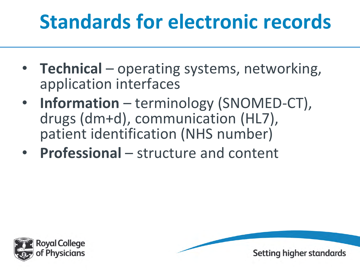### **Standards for electronic records**

- **Technical** operating systems, networking, application interfaces
- **Information** terminology (SNOMED-CT), drugs (dm+d), communication (HL7), patient identification (NHS number)
- **Professional** structure and content



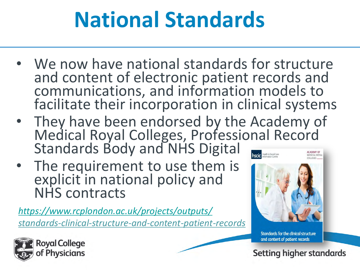### **National Standards**

- We now have national standards for structure and content of electronic patient records and communications, and information models to facilitate their incorporation in clinical systems
- They have been endorsed by the Academy of Medical Royal Colleges, Professional Record Standards Body and NHS Digital ealth & Social Care
- The requirement to use them is explicit in national policy and NHS contracts

*<https://www.rcplondon.ac.uk/projects/outputs/> standards-clinical-structure-and-content-patient-records* 



**Standards for the clinical structure** and content of patient records

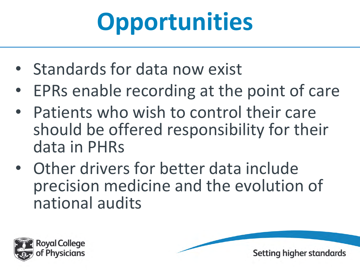## **Opportunities**

- Standards for data now exist
- EPRs enable recording at the point of care
- Patients who wish to control their care should be offered responsibility for their data in PHRs
- Other drivers for better data include precision medicine and the evolution of national audits

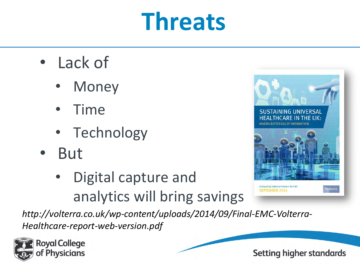## **Threats**

- Lack of
	- **Money**
	- Time
	- Technology
- But
	- Digital capture and analytics will bring savings

*http://volterra.co.uk/wp-content/uploads/2014/09/Final-EMC-Volterra-Healthcare-report-web-version.pdf* 





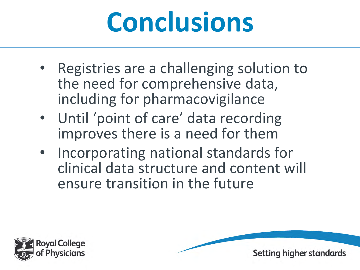## **Conclusions**

- Registries are a challenging solution to the need for comprehensive data, including for pharmacovigilance
- Until 'point of care' data recording improves there is a need for them
- Incorporating national standards for clinical data structure and content will ensure transition in the future